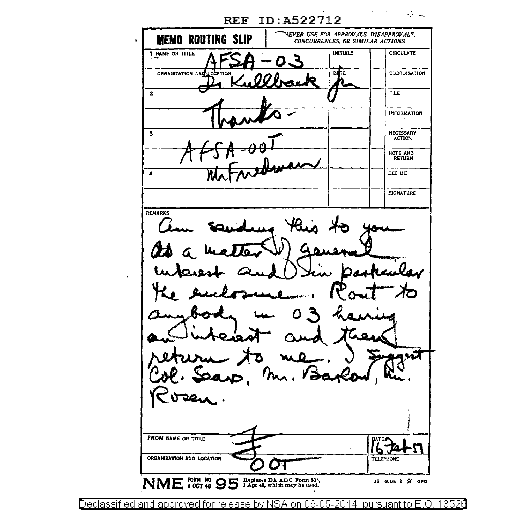لمصدر الحركم **REF ID:A522712** VEVER USE FOR APPROVALS, DISAPPROVALS, **MEMO ROUTING SLIP** CONCURRENCES, OR SIMILAR ACTIONS I NAME OR TITLE **INITIALS CIRCULATE** ORGANIZATION AND COORDINATION  $\overline{2}$ **FILE INFORMATION**  $\overline{\mathbf{3}}$ NECESSARY<br>ACTION NOTE AND<br>RETURN  $\overline{4}$ SEE ME **SIGNATURE** REMARKS FROM NAME OR TITLE ATE. ORGANIZATION AND LOCATION TELEPHONE NME FORM NO 95 Paplaces DA AGO Form 836, 16--48487-8 № ФРО

Declassified and approved for release by NSA on 06-05-2014 pursuant to E.O. 13526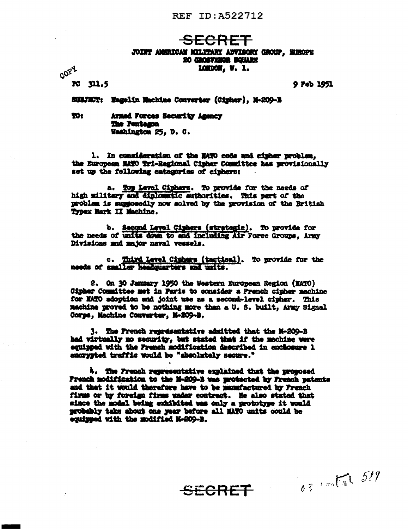## REF ID: A522712

# <del>SECRET</del>

#### JOINT AMERICAN MILITARY ADVISORY GROUP, EUROPE 20 CROSTEROR BOILARY LONDON, W. 1.

**PC 311.5** 

**00PY** 

9 Feb 1951

 $0.31$  and  $519$ 

SUBJECT: Hagelin Machine Converter (Cipher), M-209-B

TO<sub>1</sub> Armed Forces Security Agency **The Pentagon** Washington 25, D. C.

1. In consideration of the MATO code and cipher problem. the European NATO Tri-Regional Cipher Committee has provisionally set up the following categories of ciphers:

a. Top Level Ciphers. To provide for the needs of high military and diplomatic authorities. This part of the problem is supposedly now solved by the provision of the British Typex Mark II Machine.

b. Second Level Ciphers (strategic). To provide for the needs of units down to and including Air Force Groups, Army Divisions and major naval vessels.

c. Third Level Ciphers (tactical). To provide for the needs of smaller headquarters and units.

2. On 30 January 1950 the Western European Region (MATO) Cipher Committee met in Paris to consider a French cipher machine for MATO adoption and joint use as a second-level cipher. This machine proved to be nothing more than a U.S. built. Army Signal Corps, Machine Converter, M-209-B.

3. The French representative admitted that the N-209-B had virtually no security, but stated that if the machine were equipped with the French modification described in enchosure 1 encrypted traffic would be "absolutely secure."

4. The French representative explained that the proposed French modification to the M-209-B was myotected by French patents and that it would therefore have to be manufactured by French firms or by foreign firms under contract. He also stated that since the modal being exhibited was only a prototype it would probably take about one year before all MATO units could be equipped with the modified N-209-B.

SECRET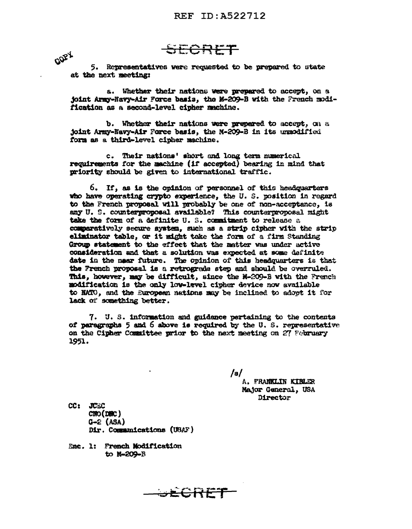<del>ORFT</del>

CORX 5. Renresentatives were requested to be prepared to state at the next meeting:

a. Whether their nations were propared to accept, on a joint Army-Navy-Air Force basis, the M-209-B with the French modification as a second-level cipher machine.

b. Whether their nations were prepared to accept. on a joint Army-Navy-Air Force basis, the M-209-B in its unmodified form as a third-level cipher machine.

c. Their nations' short and long term numerical requirements for the machine (if accepted) bearing in mind that priority should be given to international traffic.

6. If, as is the opinion of personnel of this headquarters who have operating crypto experience, the U.S. position in regard to the French proposal will probably be one of non-acceptance, is any U. S. counterproposal available? This counterproposal might take the form of a definite U.S. commitment to release a comparatively secure system, such as a strip cipher with the strip eliminator table, or it might take the form of a firm Standing Group statement to the effect that the matter was under active consideration and that a solution was expected at some definite date in the near future. The opinion of this headquarters is that the French proposal is a retrograde step and should be overruled. This, however, may be difficult, since the N-209-B with the French modification is the only low-level cipher device now available to NATO, and the European nations may be inclined to adopt it for lack of something better.

7. U.S. information and guidance pertaining to the contents of paragraphs 5 and 6 above is required by the U.S. representative on the Cipher Committee prior to the next meeting on 27 February 1951.

<del>wecree</del>

 $/s/$ 

A. FRANKLIN KIBLER Major General, USA **Director** 

CC: JUEC CNO (DNC)  $G-2$  (ASA) Dir. Communications (USAF)

Enc. 1: French Modification to M-209-B